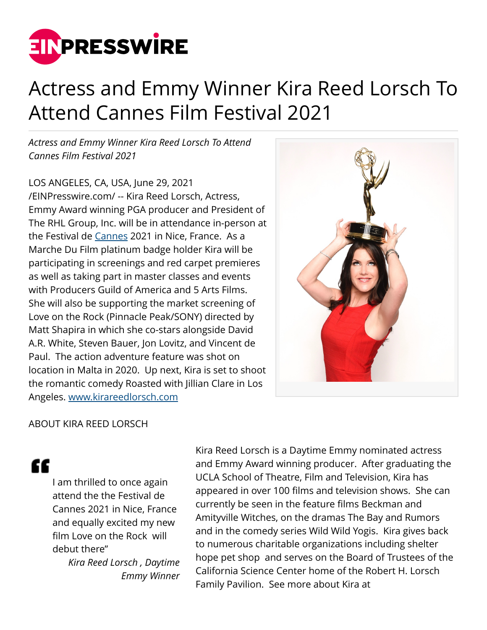

## Actress and Emmy Winner Kira Reed Lorsch To Attend Cannes Film Festival 2021

*Actress and Emmy Winner Kira Reed Lorsch To Attend Cannes Film Festival 2021*

LOS ANGELES, CA, USA, June 29, 2021 [/EINPresswire.com/](http://www.einpresswire.com) -- Kira Reed Lorsch, Actress, Emmy Award winning PGA producer and President of The RHL Group, Inc. will be in attendance in-person at the Festival de [Cannes](http://www.kirareedlorsch.com) 2021 in Nice, France. As a Marche Du Film platinum badge holder Kira will be participating in screenings and red carpet premieres as well as taking part in master classes and events with Producers Guild of America and 5 Arts Films. She will also be supporting the market screening of Love on the Rock (Pinnacle Peak/SONY) directed by Matt Shapira in which she co-stars alongside David A.R. White, Steven Bauer, Jon Lovitz, and Vincent de Paul. The action adventure feature was shot on location in Malta in 2020. Up next, Kira is set to shoot the romantic comedy Roasted with Jillian Clare in Los Angeles. [www.kirareedlorsch.com](http://www.kirareedlorsch.com)



## ABOUT KIRA REED LORSCH

## "

I am thrilled to once again attend the the Festival de Cannes 2021 in Nice, France and equally excited my new film Love on the Rock will debut there"

*Kira Reed Lorsch , Daytime Emmy Winner*

Kira Reed Lorsch is a Daytime Emmy nominated actress and Emmy Award winning producer. After graduating the UCLA School of Theatre, Film and Television, Kira has appeared in over 100 films and television shows. She can currently be seen in the feature films Beckman and Amityville Witches, on the dramas The Bay and Rumors and in the comedy series Wild Wild Yogis. Kira gives back to numerous charitable organizations including shelter hope pet shop and serves on the Board of Trustees of the California Science Center home of the Robert H. Lorsch Family Pavilion. See more about Kira at